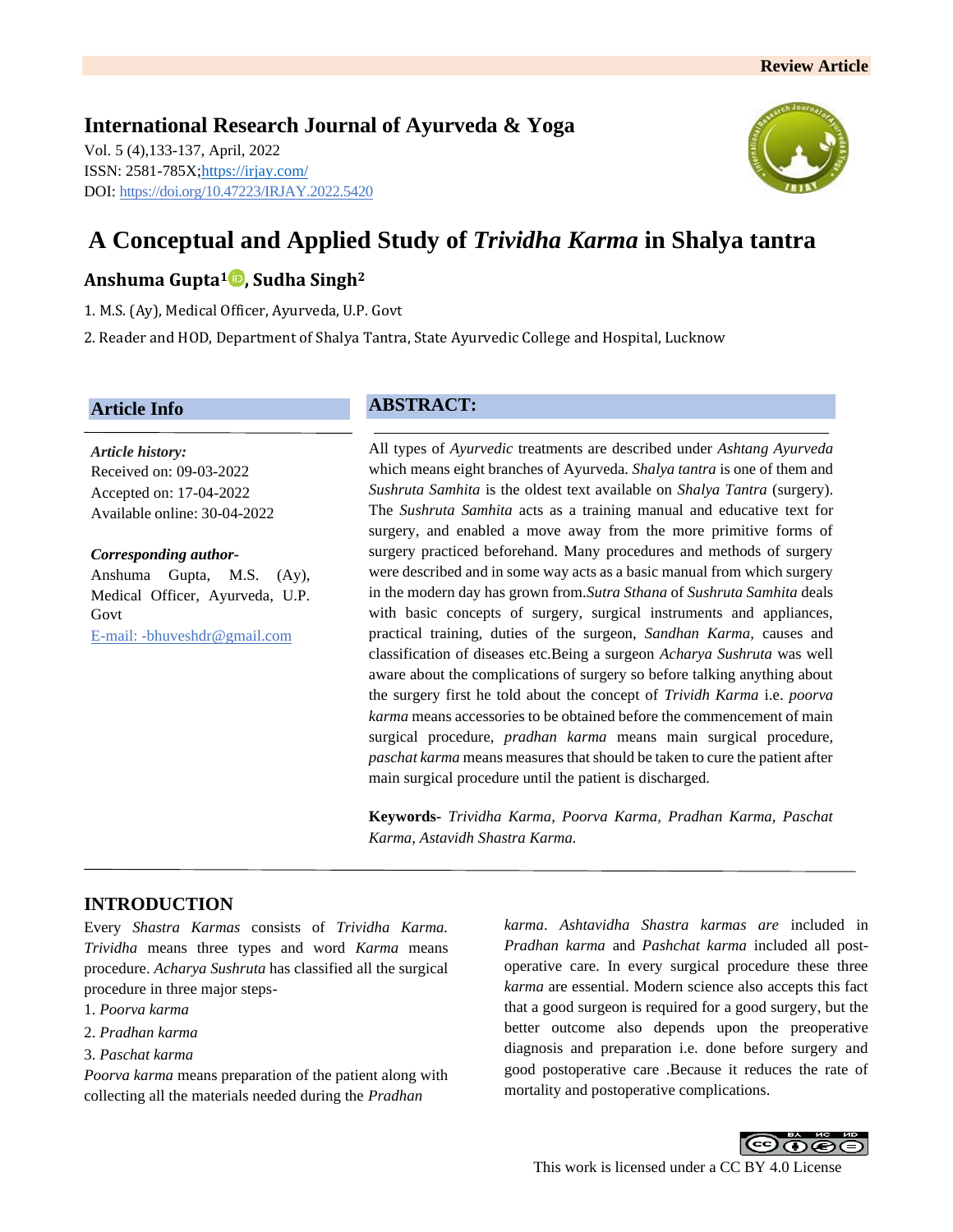## **International Research Journal of Ayurveda & Yoga** Vol. 5 (4),133-137, April, 2022 ISSN: 2581-785X[; https://irjay.com/](https://irjay.com/) DOI: https://doi.org/10.47223/IRJAY.2022.5420



# **A Conceptual and Applied Study of** *Trividha Karma* **in Shalya tantra**

# **Anshuma Gupta<sup>1</sup> , Sudha Singh<sup>2</sup>**

1. M.S. (Ay), Medical Officer, Ayurveda, U.P. Govt

2. Reader and HOD, Department of Shalya Tantra, State Ayurvedic College and Hospital, Lucknow

## **Article Info**

*Article history:* Received on: 09-03-2022 Accepted on: 17-04-2022 Available online: 30-04-2022

#### *Corresponding author-*

Anshuma Gupta, M.S. (Ay), Medical Officer, Ayurveda, U.P. Govt E-mail: -bhuveshdr@gmail.com

# **ABSTRACT:**

All types of *Ayurvedic* treatments are described under *Ashtang Ayurveda* which means eight branches of Ayurveda. *Shalya tantra* is one of them and *Sushruta Samhita* is the oldest text available on *Shalya Tantra* (surgery). The *Sushruta Samhita* acts as a training manual and educative text for surgery, and enabled a move away from the more primitive forms of surgery practiced beforehand. Many procedures and methods of surgery were described and in some way acts as a basic manual from which surgery in the modern day has grown from.*Sutra Sthana* of *Sushruta Samhita* deals with basic concepts of surgery, surgical instruments and appliances, practical training, duties of the surgeon, *Sandhan Karma,* causes and classification of diseases etc.Being a surgeon *Acharya Sushruta* was well aware about the complications of surgery so before talking anything about the surgery first he told about the concept of *Trividh Karma* i.e. *poorva karma* means accessories to be obtained before the commencement of main surgical procedure, *pradhan karma* means main surgical procedure, *paschat karma* means measures that should be taken to cure the patient after main surgical procedure until the patient is discharged.

**Keywords-** *Trividha Karma, Poorva Karma, Pradhan Karma, Paschat Karma, Astavidh Shastra Karma.* 

## **INTRODUCTION**

Every *Shastra Karmas* consists of *Trividha Karma. Trividha* means three types and word *Karma* means procedure. *Acharya Sushruta* has classified all the surgical procedure in three major steps-

- 1. *Poorva karma*
- 2. *Pradhan karma*
- 3. *Paschat karma*

*Poorva karma* means preparation of the patient along with collecting all the materials needed during the *Pradhan* 

*karma*. *Ashtavidha Shastra karmas are* included in *Pradhan karma* and *Pashchat karma* included all postoperative care. In every surgical procedure these three *karma* are essential. Modern science also accepts this fact that a good surgeon is required for a good surgery, but the better outcome also depends upon the preoperative diagnosis and preparation i.e. done before surgery and good postoperative care .Because it reduces the rate of mortality and postoperative complications.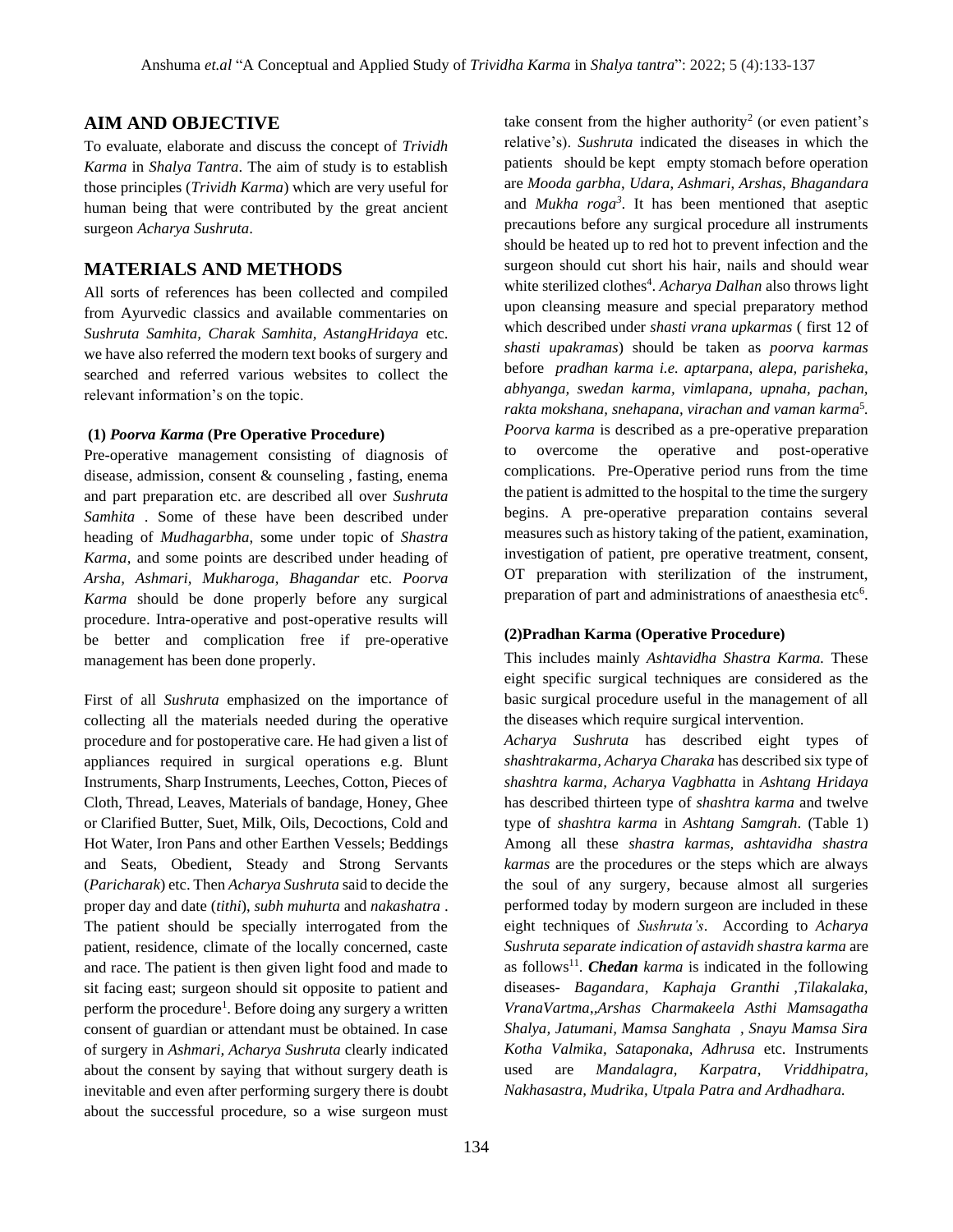#### **AIM AND OBJECTIVE**

To evaluate, elaborate and discuss the concept of *Trividh Karma* in *Shalya Tantra*. The aim of study is to establish those principles (*Trividh Karma*) which are very useful for human being that were contributed by the great ancient surgeon *Acharya Sushruta*.

## **MATERIALS AND METHODS**

All sorts of references has been collected and compiled from Ayurvedic classics and available commentaries on *Sushruta Samhita, Charak Samhita, AstangHridaya* etc. we have also referred the modern text books of surgery and searched and referred various websites to collect the relevant information's on the topic.

#### **(1)** *Poorva Karma* **(Pre Operative Procedure)**

Pre-operative management consisting of diagnosis of disease, admission, consent & counseling , fasting, enema and part preparation etc. are described all over *Sushruta Samhita* . Some of these have been described under heading of *Mudhagarbha*, some under topic of *Shastra Karma*, and some points are described under heading of *Arsha, Ashmari, Mukharoga, Bhagandar* etc. *Poorva Karma* should be done properly before any surgical procedure. Intra-operative and post-operative results will be better and complication free if pre-operative management has been done properly.

First of all *Sushruta* emphasized on the importance of collecting all the materials needed during the operative procedure and for postoperative care. He had given a list of appliances required in surgical operations e.g. Blunt Instruments, Sharp Instruments, Leeches, Cotton, Pieces of Cloth, Thread, Leaves, Materials of bandage, Honey, Ghee or Clarified Butter, Suet, Milk, Oils, Decoctions, Cold and Hot Water, Iron Pans and other Earthen Vessels; Beddings and Seats, Obedient, Steady and Strong Servants (*Paricharak*) etc. Then *Acharya Sushruta* said to decide the proper day and date (*tithi*), *subh muhurta* and *nakashatra* . The patient should be specially interrogated from the patient, residence, climate of the locally concerned, caste and race. The patient is then given light food and made to sit facing east; surgeon should sit opposite to patient and perform the procedure<sup>1</sup>. Before doing any surgery a written consent of guardian or attendant must be obtained. In case of surgery in *Ashmari, Acharya Sushruta* clearly indicated about the consent by saying that without surgery death is inevitable and even after performing surgery there is doubt about the successful procedure, so a wise surgeon must

take consent from the higher authority<sup>2</sup> (or even patient's relative's). *Sushruta* indicated the diseases in which the patients should be kept empty stomach before operation are *Mooda garbha*, *Udara*, *Ashmari*, *Arshas*, *Bhagandara* and *Mukha roga<sup>3</sup>* . It has been mentioned that aseptic precautions before any surgical procedure all instruments should be heated up to red hot to prevent infection and the surgeon should cut short his hair, nails and should wear white sterilized clothes<sup>4</sup>. *Acharya Dalhan* also throws light upon cleansing measure and special preparatory method which described under *shasti vrana upkarmas* ( first 12 of *shasti upakramas*) should be taken as *poorva karmas*  before *pradhan karma i.e. aptarpana, alepa, parisheka, abhyanga, swedan karma, vimlapana, upnaha, pachan, rakta mokshana, snehapana, virachan and vaman karma* 5 *. Poorva karma* is described as a pre-operative preparation to overcome the operative and post-operative complications. Pre-Operative period runs from the time the patient is admitted to the hospital to the time the surgery begins. A pre-operative preparation contains several measures such as history taking of the patient, examination, investigation of patient, pre operative treatment, consent, OT preparation with sterilization of the instrument, preparation of part and administrations of anaesthesia etc<sup>6</sup>.

#### **(2)Pradhan Karma (Operative Procedure)**

This includes mainly *Ashtavidha Shastra Karma.* These eight specific surgical techniques are considered as the basic surgical procedure useful in the management of all the diseases which require surgical intervention.

*Acharya Sushruta* has described eight types of *shashtrakarma, Acharya Charaka* has described six type of *shashtra karma, Acharya Vagbhatta* in *Ashtang Hridaya* has described thirteen type of *shashtra karma* and twelve type of *shashtra karma* in *Ashtang Samgrah*. (Table 1) Among all these *shastra karmas, ashtavidha shastra karmas* are the procedures or the steps which are always the soul of any surgery, because almost all surgeries performed today by modern surgeon are included in these eight techniques of *Sushruta's*. According to *Acharya Sushruta separate indication of astavidh shastra karma* are as follows<sup>11</sup>. *Chedan karma* is indicated in the following diseases- *Bagandara, Kaphaja Granthi ,Tilakalaka, VranaVartma*,*,Arshas Charmakeela Asthi Mamsagatha Shalya, Jatumani, Mamsa Sanghata , Snayu Mamsa Sira Kotha Valmika, Sataponaka, Adhrusa* etc. Instruments used are *Mandalagra, Karpatra*, *Vriddhipatra, Nakhasastra, Mudrika, Utpala Patra and Ardhadhara.*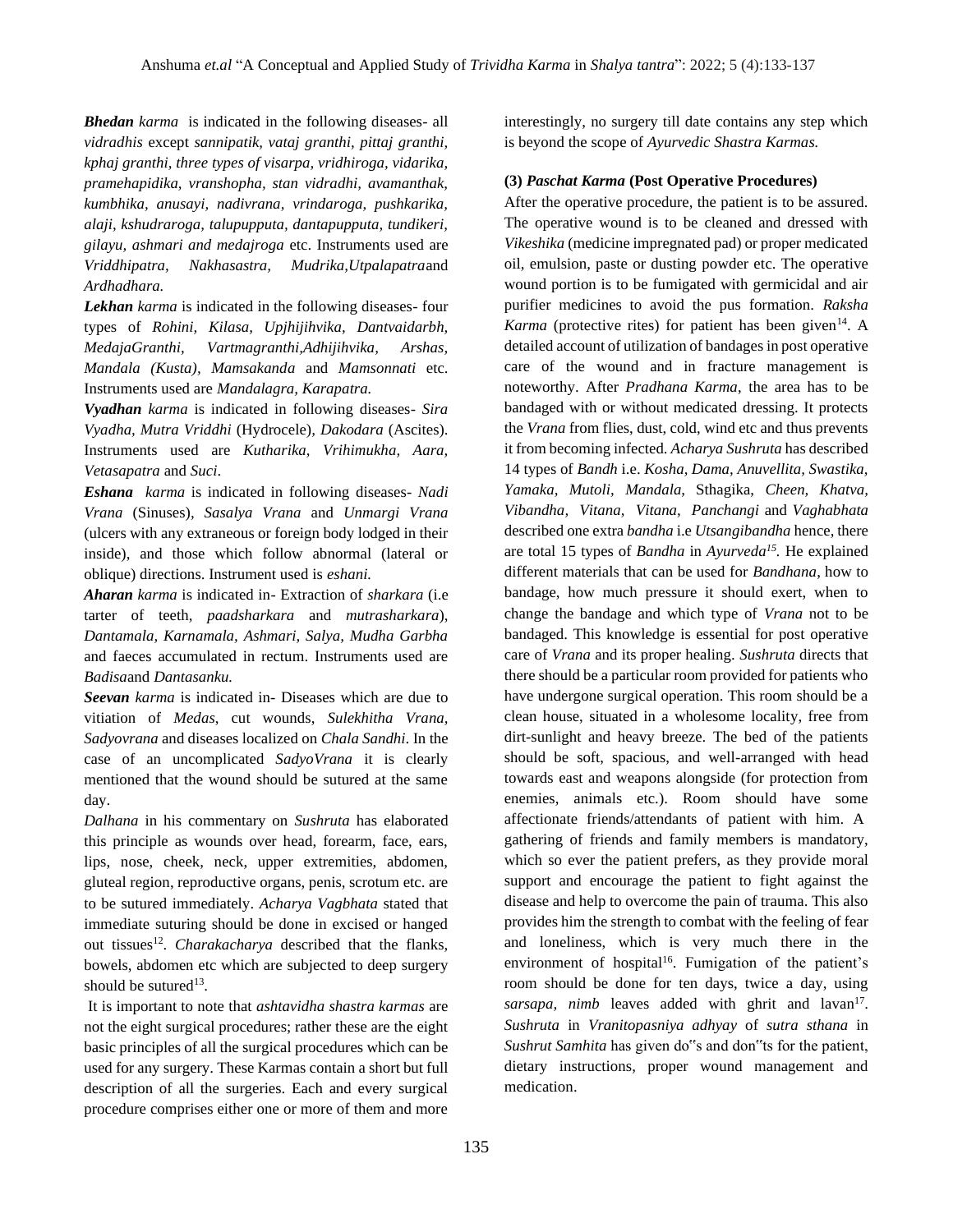*Bhedan karma* is indicated in the following diseases- all *vidradhis* except *sannipatik, vataj granthi, pittaj granthi, kphaj granthi, three types of visarpa, vridhiroga, vidarika, pramehapidika, vranshopha, stan vidradhi, avamanthak, kumbhika, anusayi, nadivrana, vrindaroga, pushkarika, alaji, kshudraroga, talupupputa, dantapupputa, tundikeri, gilayu, ashmari and medajroga* etc. Instruments used are *Vriddhipatra, Nakhasastra, Mudrika,Utpalapatra*and *Ardhadhara.*

*Lekhan karma* is indicated in the following diseases- four types of *Rohini, Kilasa, Upjhijihvika, Dantvaidarbh, MedajaGranthi, Vartmagranthi,Adhijihvika, Arshas, Mandala (Kusta), Mamsakanda* and *Mamsonnati* etc. Instruments used are *Mandalagra, Karapatra.*

*Vyadhan karma* is indicated in following diseases- *Sira Vyadha, Mutra Vriddhi* (Hydrocele)*, Dakodara* (Ascites). Instruments used are *Kutharika, Vrihimukha, Aara, Vetasapatra* and *Suci*.

*Eshana karma* is indicated in following diseases- *Nadi Vrana* (Sinuses)*, Sasalya Vrana* and *Unmargi Vrana*  (ulcers with any extraneous or foreign body lodged in their inside), and those which follow abnormal (lateral or oblique) directions. Instrument used is *eshani.*

*Aharan karma* is indicated in- Extraction of *sharkara* (i.e tarter of teeth, *paadsharkara* and *mutrasharkara*), *Dantamala, Karnamala, Ashmari, Salya, Mudha Garbha*  and faeces accumulated in rectum. Instruments used are *Badisa*and *Dantasanku.*

*Seevan karma* is indicated in- Diseases which are due to vitiation of *Medas*, cut wounds, *Sulekhitha Vrana, Sadyovrana* and diseases localized on *Chala Sandhi*. In the case of an uncomplicated *SadyoVrana* it is clearly mentioned that the wound should be sutured at the same day.

*Dalhana* in his commentary on *Sushruta* has elaborated this principle as wounds over head, forearm, face, ears, lips, nose, cheek, neck, upper extremities, abdomen, gluteal region, reproductive organs, penis, scrotum etc. are to be sutured immediately. *Acharya Vagbhata* stated that immediate suturing should be done in excised or hanged out tissues<sup>12</sup>. *Charakacharya* described that the flanks, bowels, abdomen etc which are subjected to deep surgery should be sutured<sup>13</sup>.

It is important to note that *ashtavidha shastra karmas* are not the eight surgical procedures; rather these are the eight basic principles of all the surgical procedures which can be used for any surgery. These Karmas contain a short but full description of all the surgeries. Each and every surgical procedure comprises either one or more of them and more

interestingly, no surgery till date contains any step which is beyond the scope of *Ayurvedic Shastra Karmas.*

## **(3)** *Paschat Karma* **(Post Operative Procedures)**

After the operative procedure, the patient is to be assured. The operative wound is to be cleaned and dressed with *Vikeshika* (medicine impregnated pad) or proper medicated oil, emulsion, paste or dusting powder etc. The operative wound portion is to be fumigated with germicidal and air purifier medicines to avoid the pus formation. *Raksha*  Karma (protective rites) for patient has been given<sup>14</sup>. A detailed account of utilization of bandages in post operative care of the wound and in fracture management is noteworthy. After *Pradhana Karma*, the area has to be bandaged with or without medicated dressing. It protects the *Vrana* from flies, dust, cold, wind etc and thus prevents it from becoming infected. *Acharya Sushruta* has described 14 types of *Bandh* i.e. *Kosha, Dama, Anuvellita, Swastika, Yamaka, Mutoli, Mandala,* Sthagika, *Cheen, Khatva, Vibandha, Vitana, Vitana, Panchangi* and *Vaghabhata*  described one extra *bandha* i.e *Utsangibandha* hence, there are total 15 types of *Bandha* in *Ayurveda<sup>15</sup> .* He explained different materials that can be used for *Bandhana*, how to bandage, how much pressure it should exert, when to change the bandage and which type of *Vrana* not to be bandaged. This knowledge is essential for post operative care of *Vrana* and its proper healing. *Sushruta* directs that there should be a particular room provided for patients who have undergone surgical operation. This room should be a clean house, situated in a wholesome locality, free from dirt-sunlight and heavy breeze. The bed of the patients should be soft, spacious, and well-arranged with head towards east and weapons alongside (for protection from enemies, animals etc.). Room should have some affectionate friends/attendants of patient with him. A gathering of friends and family members is mandatory, which so ever the patient prefers, as they provide moral support and encourage the patient to fight against the disease and help to overcome the pain of trauma. This also provides him the strength to combat with the feeling of fear and loneliness, which is very much there in the environment of hospital<sup>16</sup>. Fumigation of the patient's room should be done for ten days, twice a day, using sarsapa, nimb leaves added with ghrit and lavan<sup>17</sup>. *Sushruta* in *Vranitopasniya adhyay* of *sutra sthana* in *Sushrut Samhita* has given do"s and don"ts for the patient, dietary instructions, proper wound management and medication.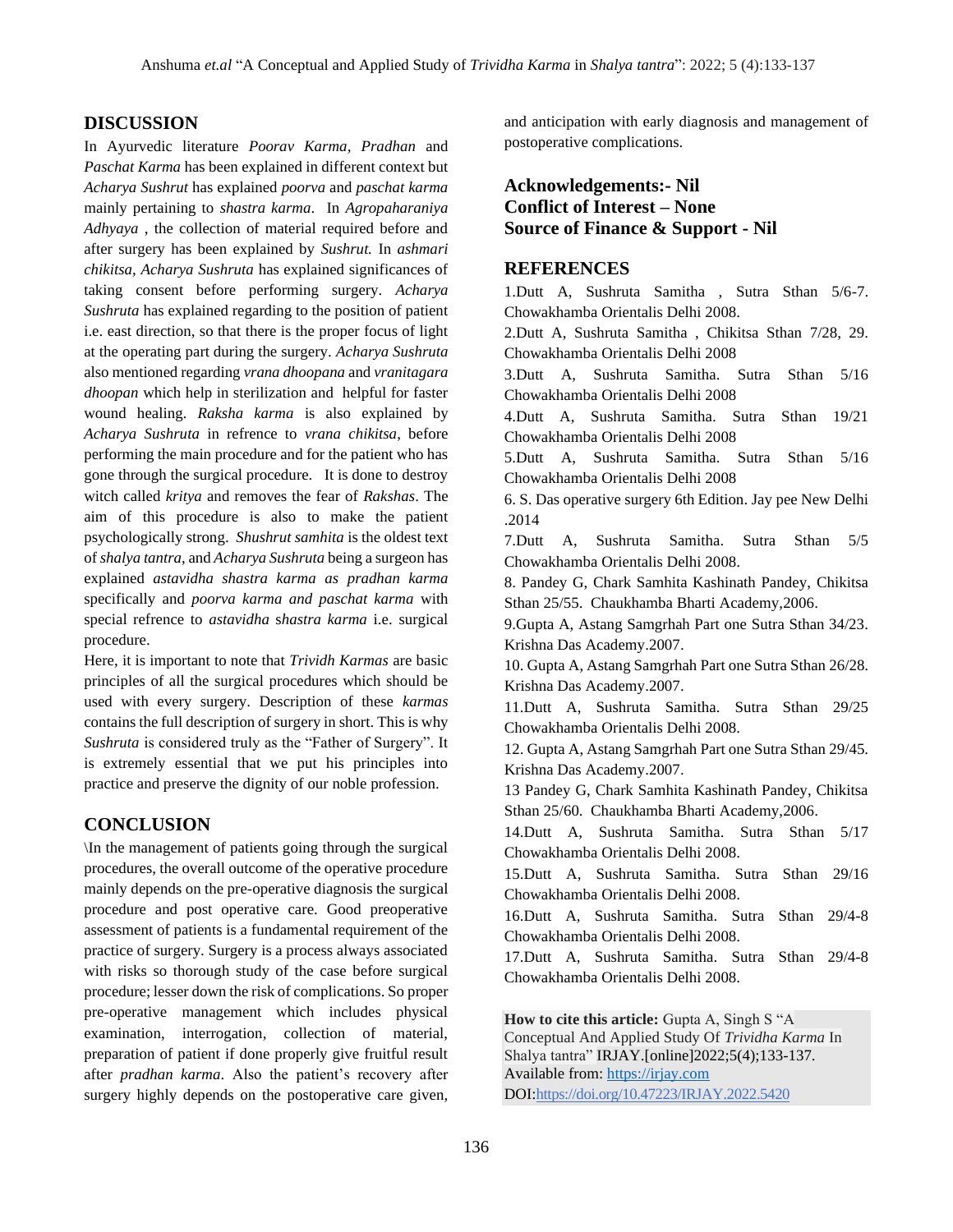## **DISCUSSION**

In Ayurvedic literature *Poorav Karma*, *Pradhan* and *Paschat Karma* has been explained in different context but *Acharya Sushrut* has explained *poorva* and *paschat karma*  mainly pertaining to *shastra karma*. In *Agropaharaniya Adhyaya* , the collection of material required before and after surgery has been explained by *Sushrut.* In *ashmari chikitsa, Acharya Sushruta* has explained significances of taking consent before performing surgery. *Acharya Sushruta* has explained regarding to the position of patient i.e. east direction, so that there is the proper focus of light at the operating part during the surgery. *Acharya Sushruta*  also mentioned regarding *vrana dhoopana* and *vranitagara dhoopan* which help in sterilization and helpful for faster wound healing. *Raksha karma* is also explained by *Acharya Sushruta* in refrence to *vrana chikitsa*, before performing the main procedure and for the patient who has gone through the surgical procedure. It is done to destroy witch called *kritya* and removes the fear of *Rakshas*. The aim of this procedure is also to make the patient psychologically strong. *Shushrut samhita* is the oldest text of *shalya tantra*, and *Acharya Sushruta* being a surgeon has explained *astavidha shastra karma as pradhan karma*  specifically and *poorva karma and paschat karma* with special refrence to *astavidha* s*hastra karma* i.e. surgical procedure.

Here, it is important to note that *Trividh Karmas* are basic principles of all the surgical procedures which should be used with every surgery. Description of these *karmas* contains the full description of surgery in short. This is why *Sushruta* is considered truly as the "Father of Surgery". It is extremely essential that we put his principles into practice and preserve the dignity of our noble profession.

## **CONCLUSION**

\In the management of patients going through the surgical procedures, the overall outcome of the operative procedure mainly depends on the pre-operative diagnosis the surgical procedure and post operative care. Good preoperative assessment of patients is a fundamental requirement of the practice of surgery. Surgery is a process always associated with risks so thorough study of the case before surgical procedure; lesser down the risk of complications. So proper pre-operative management which includes physical examination, interrogation, collection of material, preparation of patient if done properly give fruitful result after *pradhan karma*. Also the patient's recovery after surgery highly depends on the postoperative care given, and anticipation with early diagnosis and management of postoperative complications.

## **Acknowledgements:- Nil Conflict of Interest – None Source of Finance & Support - Nil**

## **REFERENCES**

1.Dutt A, Sushruta Samitha , Sutra Sthan 5/6-7. Chowakhamba Orientalis Delhi 2008. 2.Dutt A, Sushruta Samitha , Chikitsa Sthan 7/28, 29. Chowakhamba Orientalis Delhi 2008 3.Dutt A, Sushruta Samitha. Sutra Sthan 5/16 Chowakhamba Orientalis Delhi 2008 4.Dutt A, Sushruta Samitha. Sutra Sthan 19/21 Chowakhamba Orientalis Delhi 2008 5.Dutt A, Sushruta Samitha. Sutra Sthan 5/16 Chowakhamba Orientalis Delhi 2008 6. S. Das operative surgery 6th Edition. Jay pee New Delhi .2014 7.Dutt A, Sushruta Samitha. Sutra Sthan 5/5 Chowakhamba Orientalis Delhi 2008. 8. Pandey G, Chark Samhita Kashinath Pandey, Chikitsa Sthan 25/55. Chaukhamba Bharti Academy,2006. 9.Gupta A, Astang Samgrhah Part one Sutra Sthan 34/23. Krishna Das Academy.2007. 10. Gupta A, Astang Samgrhah Part one Sutra Sthan 26/28. Krishna Das Academy.2007. 11.Dutt A, Sushruta Samitha. Sutra Sthan 29/25 Chowakhamba Orientalis Delhi 2008. 12. Gupta A, Astang Samgrhah Part one Sutra Sthan 29/45. Krishna Das Academy.2007. 13 Pandey G, Chark Samhita Kashinath Pandey, Chikitsa Sthan 25/60. Chaukhamba Bharti Academy,2006. 14.Dutt A, Sushruta Samitha. Sutra Sthan 5/17 Chowakhamba Orientalis Delhi 2008. 15.Dutt A, Sushruta Samitha. Sutra Sthan 29/16 Chowakhamba Orientalis Delhi 2008. 16.Dutt A, Sushruta Samitha. Sutra Sthan 29/4-8 Chowakhamba Orientalis Delhi 2008. 17.Dutt A, Sushruta Samitha. Sutra Sthan 29/4-8 Chowakhamba Orientalis Delhi 2008.

**How to cite this article:** Gupta A, Singh S "A Conceptual And Applied Study Of *Trividha Karma* In Shalya tantra" IRJAY.[online]2022;5(4);133-137. Available from: [https://irjay.com](https://irjay.com/) DOI:https://doi.org/10.47223/IRJAY.2022.5420